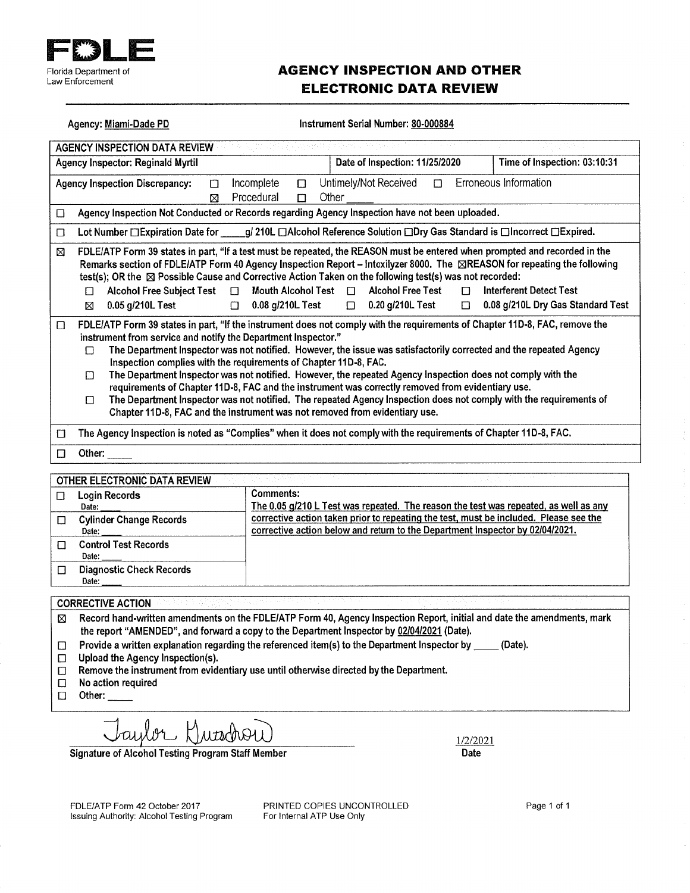

## **AGENCY INSPECTION AND OTHER ELECTRONIC DATA REVIEW**

| Agency: Miami-Dade PD                                                                                                                                                                                                                                                                                                                                                                                                                                                                                                                                                                                                                                                                                                                                                                                                                    | Instrument Serial Number: 80-000884                                                                                                                                    |                              |  |  |  |
|------------------------------------------------------------------------------------------------------------------------------------------------------------------------------------------------------------------------------------------------------------------------------------------------------------------------------------------------------------------------------------------------------------------------------------------------------------------------------------------------------------------------------------------------------------------------------------------------------------------------------------------------------------------------------------------------------------------------------------------------------------------------------------------------------------------------------------------|------------------------------------------------------------------------------------------------------------------------------------------------------------------------|------------------------------|--|--|--|
| <b>AGENCY INSPECTION DATA REVIEW</b>                                                                                                                                                                                                                                                                                                                                                                                                                                                                                                                                                                                                                                                                                                                                                                                                     |                                                                                                                                                                        |                              |  |  |  |
| Agency Inspector: Reginald Myrtil                                                                                                                                                                                                                                                                                                                                                                                                                                                                                                                                                                                                                                                                                                                                                                                                        | Date of Inspection: 11/25/2020                                                                                                                                         | Time of Inspection: 03:10:31 |  |  |  |
| <b>Agency Inspection Discrepancy:</b><br>$\Box$<br>⊠                                                                                                                                                                                                                                                                                                                                                                                                                                                                                                                                                                                                                                                                                                                                                                                     | Untimely/Not Received<br>Incomplete<br>П<br>$\Box$<br>Procedural<br>Other<br>$\Box$                                                                                    | Erroneous Information        |  |  |  |
| □                                                                                                                                                                                                                                                                                                                                                                                                                                                                                                                                                                                                                                                                                                                                                                                                                                        | Agency Inspection Not Conducted or Records regarding Agency Inspection have not been uploaded.                                                                         |                              |  |  |  |
| О                                                                                                                                                                                                                                                                                                                                                                                                                                                                                                                                                                                                                                                                                                                                                                                                                                        | Lot Number □ Expiration Date for ____g/ 210L □ Alcohol Reference Solution □ Dry Gas Standard is □ Incorrect □ Expired.                                                 |                              |  |  |  |
| FDLE/ATP Form 39 states in part, "If a test must be repeated, the REASON must be entered when prompted and recorded in the<br>⊠<br>Remarks section of FDLE/ATP Form 40 Agency Inspection Report - Intoxilyzer 8000. The ⊠REASON for repeating the following<br>test(s); OR the ⊠ Possible Cause and Corrective Action Taken on the following test(s) was not recorded:<br><b>Alcohol Free Subject Test</b><br>Mouth Alcohol Test $\Box$<br><b>Alcohol Free Test</b><br>$\Box$<br>$\Box$<br><b>Interferent Detect Test</b><br>П<br>0.05 g/210L Test<br>0.08 g/210L Test<br>0.20 g/210L Test<br>0.08 g/210L Dry Gas Standard Test<br>⊠<br>$\Box$<br>$\Box$<br>0                                                                                                                                                                            |                                                                                                                                                                        |                              |  |  |  |
| FDLE/ATP Form 39 states in part, "If the instrument does not comply with the requirements of Chapter 11D-8, FAC, remove the<br>◻<br>instrument from service and notify the Department Inspector."<br>The Department Inspector was not notified. However, the issue was satisfactorily corrected and the repeated Agency<br>П<br>Inspection complies with the requirements of Chapter 11D-8, FAC.<br>The Department Inspector was not notified. However, the repeated Agency Inspection does not comply with the<br>$\Box$<br>requirements of Chapter 11D-8, FAC and the instrument was correctly removed from evidentiary use.<br>The Department Inspector was not notified. The repeated Agency Inspection does not comply with the requirements of<br>□<br>Chapter 11D-8, FAC and the instrument was not removed from evidentiary use. |                                                                                                                                                                        |                              |  |  |  |
| The Agency Inspection is noted as "Complies" when it does not comply with the requirements of Chapter 11D-8, FAC.<br>□                                                                                                                                                                                                                                                                                                                                                                                                                                                                                                                                                                                                                                                                                                                   |                                                                                                                                                                        |                              |  |  |  |
| 口<br>Other: $\overline{\phantom{a}}$                                                                                                                                                                                                                                                                                                                                                                                                                                                                                                                                                                                                                                                                                                                                                                                                     |                                                                                                                                                                        |                              |  |  |  |
| OTHER ELECTRONIC DATA REVIEW                                                                                                                                                                                                                                                                                                                                                                                                                                                                                                                                                                                                                                                                                                                                                                                                             |                                                                                                                                                                        |                              |  |  |  |
| <b>Login Records</b>                                                                                                                                                                                                                                                                                                                                                                                                                                                                                                                                                                                                                                                                                                                                                                                                                     | Comments:                                                                                                                                                              |                              |  |  |  |
| ◻<br>Date:                                                                                                                                                                                                                                                                                                                                                                                                                                                                                                                                                                                                                                                                                                                                                                                                                               | The 0.05 g/210 L Test was repeated. The reason the test was repeated, as well as any                                                                                   |                              |  |  |  |
| <b>Cylinder Change Records</b><br>$\Box$<br>Date:                                                                                                                                                                                                                                                                                                                                                                                                                                                                                                                                                                                                                                                                                                                                                                                        | corrective action taken prior to repeating the test, must be included. Please see the<br>corrective action below and return to the Department Inspector by 02/04/2021. |                              |  |  |  |
| <b>Control Test Records</b><br>$\Box$<br>Date:                                                                                                                                                                                                                                                                                                                                                                                                                                                                                                                                                                                                                                                                                                                                                                                           |                                                                                                                                                                        |                              |  |  |  |
| <b>Diagnostic Check Records</b><br>□<br>Date:                                                                                                                                                                                                                                                                                                                                                                                                                                                                                                                                                                                                                                                                                                                                                                                            |                                                                                                                                                                        |                              |  |  |  |
|                                                                                                                                                                                                                                                                                                                                                                                                                                                                                                                                                                                                                                                                                                                                                                                                                                          |                                                                                                                                                                        |                              |  |  |  |
| <b>CORRECTIVE ACTION</b>                                                                                                                                                                                                                                                                                                                                                                                                                                                                                                                                                                                                                                                                                                                                                                                                                 |                                                                                                                                                                        |                              |  |  |  |
| Record hand-written amendments on the FDLE/ATP Form 40, Agency Inspection Report, initial and date the amendments, mark<br>⊠<br>the report "AMENDED", and forward a copy to the Department Inspector by 02/04/2021 (Date).                                                                                                                                                                                                                                                                                                                                                                                                                                                                                                                                                                                                               |                                                                                                                                                                        |                              |  |  |  |
| Provide a written explanation regarding the referenced item(s) to the Department Inspector by _____ (Date).<br>□                                                                                                                                                                                                                                                                                                                                                                                                                                                                                                                                                                                                                                                                                                                         |                                                                                                                                                                        |                              |  |  |  |
| Upload the Agency Inspection(s).<br>□<br>Remove the instrument from evidentiary use until otherwise directed by the Department.<br>□                                                                                                                                                                                                                                                                                                                                                                                                                                                                                                                                                                                                                                                                                                     |                                                                                                                                                                        |                              |  |  |  |
| No action required<br>$\Box$                                                                                                                                                                                                                                                                                                                                                                                                                                                                                                                                                                                                                                                                                                                                                                                                             |                                                                                                                                                                        |                              |  |  |  |

 $\square$  Other:

Jaylor Kurschow  $\overline{\phantom{0}}$ 

Signature of Alcohol Testing Program Staff Member

 $1/2/2021$ Date

FDLE/ATP Form 42 October 2017 Issuing Authority: Alcohol Testing Program PRINTED COPIES UNCONTROLLED For Internal ATP Use Only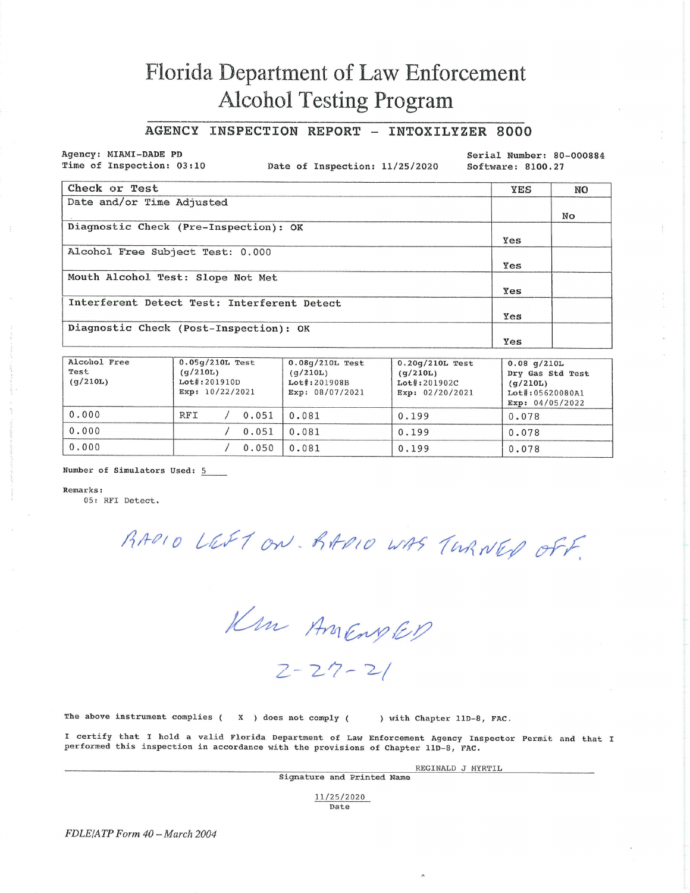# **Florida Department of Law Enforcement Alcohol Testing Program**

### AGENCY INSPECTION REPORT - INTOXILYZER 8000

Agency: MIAMI-DADE PD Time of Inspection: 03:10

Date of Inspection: 11/25/2020

Serial Number: 80-000884 Software: 8100.27

| Check or Test                               | YES | <b>NO</b> |
|---------------------------------------------|-----|-----------|
| Date and/or Time Adjusted                   |     |           |
|                                             |     | No        |
| Diagnostic Check (Pre-Inspection): OK       |     |           |
|                                             | Yes |           |
| Alcohol Free Subject Test: 0.000            |     |           |
|                                             | Yes |           |
| Mouth Alcohol Test: Slope Not Met           |     |           |
|                                             | Yes |           |
| Interferent Detect Test: Interferent Detect |     |           |
|                                             | Yes |           |
| Diagnostic Check (Post-Inspection): OK      |     |           |
|                                             | Yes |           |

| Alcohol Free<br>Test<br>(q/210L) | $0.05q/210L$ Test<br>(q/210L)<br>Lot#:201910D<br>Exp: $10/22/2021$ | $0.08q/210L$ Test<br>(q/210L)<br>Lot#:201908B<br>Exp: 08/07/2021 | $0.20q/210L$ Test<br>(q/210L)<br>Lot#:201902C<br>Exp: 02/20/2021 | $0.08$ q/210L<br>Dry Gas Std Test<br>(q/210L)<br>Lot#:05620080Al<br>Exp: $04/05/2022$ |
|----------------------------------|--------------------------------------------------------------------|------------------------------------------------------------------|------------------------------------------------------------------|---------------------------------------------------------------------------------------|
| 0.000                            | <b>RFI</b><br>0.051                                                | 0.081                                                            | 0.199                                                            | 0.078                                                                                 |
| 0.000                            | 0.051                                                              | 0.081                                                            | 0.199                                                            | 0.078                                                                                 |
| 0.000                            | 0.050                                                              | 0.081                                                            | 0.199                                                            | 0.078                                                                                 |

Number of Simulators Used: 5

Remarks:

05: RFI Detect.

RADIO LEST ON. RADIO WAS TURNED OFF.

Kin Amengen

 $2 - 27 - 21$ 

The above instrument complies  $(X, Y)$  does not comply  $(X, Y)$ ) with Chapter 11D-8, FAC.

I certify that I hold a valid Florida Department of Law Enforcement Agency Inspector Permit and that I performed this inspection in accordance with the provisions of Chapter 11D-8, FAC.

REGINALD J MYRTIL

Signature and Printed Name 11/25/2020 Date